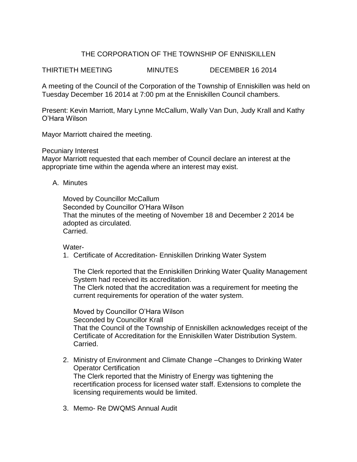# THE CORPORATION OF THE TOWNSHIP OF ENNISKILLEN

THIRTIETH MEETING MINUTES DECEMBER 16 2014

A meeting of the Council of the Corporation of the Township of Enniskillen was held on Tuesday December 16 2014 at 7:00 pm at the Enniskillen Council chambers.

Present: Kevin Marriott, Mary Lynne McCallum, Wally Van Dun, Judy Krall and Kathy O'Hara Wilson

Mayor Marriott chaired the meeting.

Pecuniary Interest

Mayor Marriott requested that each member of Council declare an interest at the appropriate time within the agenda where an interest may exist.

### A. Minutes

Moved by Councillor McCallum Seconded by Councillor O'Hara Wilson That the minutes of the meeting of November 18 and December 2 2014 be adopted as circulated. Carried.

Water-

1. Certificate of Accreditation- Enniskillen Drinking Water System

The Clerk reported that the Enniskillen Drinking Water Quality Management System had received its accreditation.

The Clerk noted that the accreditation was a requirement for meeting the current requirements for operation of the water system.

Moved by Councillor O'Hara Wilson Seconded by Councillor Krall That the Council of the Township of Enniskillen acknowledges receipt of the Certificate of Accreditation for the Enniskillen Water Distribution System. Carried.

- 2. Ministry of Environment and Climate Change –Changes to Drinking Water Operator Certification The Clerk reported that the Ministry of Energy was tightening the recertification process for licensed water staff. Extensions to complete the licensing requirements would be limited.
- 3. Memo- Re DWQMS Annual Audit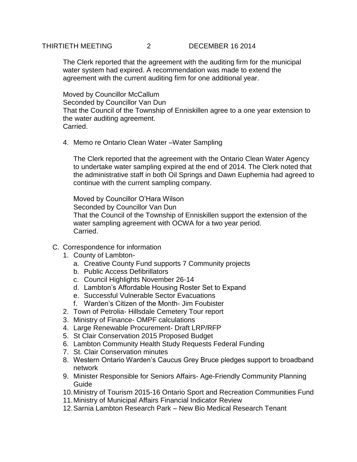## THIRTIETH MEETING 2 DECEMBER 16 2014

The Clerk reported that the agreement with the auditing firm for the municipal water system had expired. A recommendation was made to extend the agreement with the current auditing firm for one additional year.

Moved by Councillor McCallum Seconded by Councillor Van Dun That the Council of the Township of Enniskillen agree to a one year extension to the water auditing agreement. Carried.

4. Memo re Ontario Clean Water –Water Sampling

The Clerk reported that the agreement with the Ontario Clean Water Agency to undertake water sampling expired at the end of 2014. The Clerk noted that the administrative staff in both Oil Springs and Dawn Euphemia had agreed to continue with the current sampling company.

Moved by Councillor O'Hara Wilson Seconded by Councillor Van Dun That the Council of the Township of Enniskillen support the extension of the water sampling agreement with OCWA for a two year period. Carried.

- C. Correspondence for information
	- 1. County of Lambton
		- a. Creative County Fund supports 7 Community projects
		- b. Public Access Defibrillators
		- c. Council Highlights November 26-14
		- d. Lambton's Affordable Housing Roster Set to Expand
		- e. Successful Vulnerable Sector Evacuations
		- f. Warden's Citizen of the Month- Jim Foubister
	- 2. Town of Petrolia- Hillsdale Cemetery Tour report
	- 3. Ministry of Finance- OMPF calculations
	- 4. Large Renewable Procurement- Draft LRP/RFP
	- 5. St Clair Conservation 2015 Proposed Budget
	- 6. Lambton Community Health Study Requests Federal Funding
	- 7. St. Clair Conservation minutes
	- 8. Western Ontario Warden's Caucus Grey Bruce pledges support to broadband network
	- 9. Minister Responsible for Seniors Affairs- Age-Friendly Community Planning Guide
	- 10.Ministry of Tourism 2015-16 Ontario Sport and Recreation Communities Fund
	- 11.Ministry of Municipal Affairs Financial Indicator Review
	- 12.Sarnia Lambton Research Park New Bio Medical Research Tenant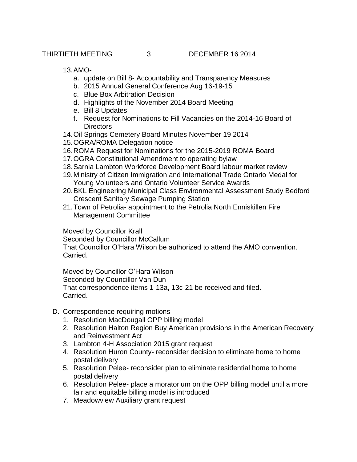THIRTIETH MEETING 3 DECEMBER 16 2014

13.AMO-

- a. update on Bill 8- Accountability and Transparency Measures
- b. 2015 Annual General Conference Aug 16-19-15
- c. Blue Box Arbitration Decision
- d. Highlights of the November 2014 Board Meeting
- e. Bill 8 Updates
- f. Request for Nominations to Fill Vacancies on the 2014-16 Board of **Directors**
- 14.Oil Springs Cemetery Board Minutes November 19 2014
- 15.OGRA/ROMA Delegation notice
- 16.ROMA Request for Nominations for the 2015-2019 ROMA Board
- 17.OGRA Constitutional Amendment to operating bylaw
- 18.Sarnia Lambton Workforce Development Board labour market review
- 19.Ministry of Citizen Immigration and International Trade Ontario Medal for Young Volunteers and Ontario Volunteer Service Awards
- 20.BKL Engineering Municipal Class Environmental Assessment Study Bedford Crescent Sanitary Sewage Pumping Station
- 21.Town of Petrolia- appointment to the Petrolia North Enniskillen Fire Management Committee

Moved by Councillor Krall Seconded by Councillor McCallum That Councillor O'Hara Wilson be authorized to attend the AMO convention. Carried.

Moved by Councillor O'Hara Wilson Seconded by Councillor Van Dun That correspondence items 1-13a, 13c-21 be received and filed. Carried.

- D. Correspondence requiring motions
	- 1. Resolution MacDougall OPP billing model
	- 2. Resolution Halton Region Buy American provisions in the American Recovery and Reinvestment Act
	- 3. Lambton 4-H Association 2015 grant request
	- 4. Resolution Huron County- reconsider decision to eliminate home to home postal delivery
	- 5. Resolution Pelee- reconsider plan to eliminate residential home to home postal delivery
	- 6. Resolution Pelee- place a moratorium on the OPP billing model until a more fair and equitable billing model is introduced
	- 7. Meadowview Auxiliary grant request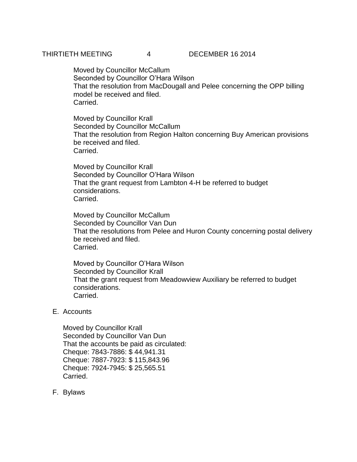Moved by Councillor McCallum Seconded by Councillor O'Hara Wilson That the resolution from MacDougall and Pelee concerning the OPP billing model be received and filed. Carried.

Moved by Councillor Krall Seconded by Councillor McCallum That the resolution from Region Halton concerning Buy American provisions be received and filed. Carried.

Moved by Councillor Krall Seconded by Councillor O'Hara Wilson That the grant request from Lambton 4-H be referred to budget considerations. Carried.

Moved by Councillor McCallum Seconded by Councillor Van Dun That the resolutions from Pelee and Huron County concerning postal delivery be received and filed. Carried.

Moved by Councillor O'Hara Wilson Seconded by Councillor Krall That the grant request from Meadowview Auxiliary be referred to budget considerations. Carried.

# E. Accounts

Moved by Councillor Krall Seconded by Councillor Van Dun That the accounts be paid as circulated: Cheque: 7843-7886: \$ 44,941.31 Cheque: 7887-7923: \$ 115,843.96 Cheque: 7924-7945: \$ 25,565.51 Carried.

F. Bylaws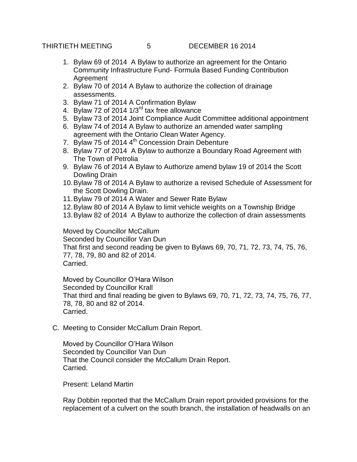THIRTIETH MEETING 5 DECEMBER 16 2014

- 1. Bylaw 69 of 2014 A Bylaw to authorize an agreement for the Ontario Community Infrastructure Fund- Formula Based Funding Contribution Agreement
- 2. Bylaw 70 of 2014 A Bylaw to authorize the collection of drainage assessments.
- 3. Bylaw 71 of 2014 A Confirmation Bylaw
- 4. Bylaw 72 of 2014  $1/3^{rd}$  tax free allowance
- 5. Bylaw 73 of 2014 Joint Compliance Audit Committee additional appointment
- 6. Bylaw 74 of 2014 A Bylaw to authorize an amended water sampling agreement with the Ontario Clean Water Agency.
- 7. Bylaw 75 of 2014 4<sup>th</sup> Concession Drain Debenture
- 8. Bylaw 77 of 2014 A Bylaw to authorize a Boundary Road Agreement with The Town of Petrolia
- 9. Bylaw 76 of 2014 A Bylaw to Authorize amend bylaw 19 of 2014 the Scott Dowling Drain
- 10.Bylaw 78 of 2014 A Bylaw to authorize a revised Schedule of Assessment for the Scott Dowling Drain.
- 11.Bylaw 79 of 2014 A Water and Sewer Rate Bylaw
- 12.Bylaw 80 of 2014 A Bylaw to limit vehicle weights on a Township Bridge
- 13.Bylaw 82 of 2014 A Bylaw to authorize the collection of drain assessments

Moved by Councillor McCallum Seconded by Councillor Van Dun That first and second reading be given to Bylaws 69, 70, 71, 72, 73, 74, 75, 76, 77, 78, 79, 80 and 82 of 2014. Carried.

Moved by Councillor O'Hara Wilson Seconded by Councillor Krall That third and final reading be given to Bylaws 69, 70, 71, 72, 73, 74, 75, 76, 77, 78, 78, 80 and 82 of 2014. Carried.

C. Meeting to Consider McCallum Drain Report.

Moved by Councillor O'Hara Wilson Seconded by Councillor Van Dun That the Council consider the McCallum Drain Report. Carried.

Present: Leland Martin

Ray Dobbin reported that the McCallum Drain report provided provisions for the replacement of a culvert on the south branch, the installation of headwalls on an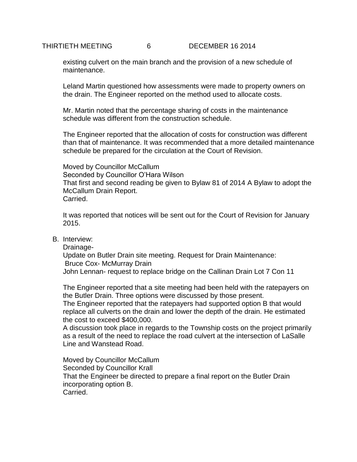THIRTIETH MEETING 6 DECEMBER 16 2014

existing culvert on the main branch and the provision of a new schedule of maintenance.

Leland Martin questioned how assessments were made to property owners on the drain. The Engineer reported on the method used to allocate costs.

Mr. Martin noted that the percentage sharing of costs in the maintenance schedule was different from the construction schedule.

The Engineer reported that the allocation of costs for construction was different than that of maintenance. It was recommended that a more detailed maintenance schedule be prepared for the circulation at the Court of Revision.

Moved by Councillor McCallum Seconded by Councillor O'Hara Wilson That first and second reading be given to Bylaw 81 of 2014 A Bylaw to adopt the McCallum Drain Report. Carried.

It was reported that notices will be sent out for the Court of Revision for January 2015.

B. Interview:

Drainage-Update on Butler Drain site meeting. Request for Drain Maintenance: Bruce Cox- McMurray Drain John Lennan- request to replace bridge on the Callinan Drain Lot 7 Con 11

The Engineer reported that a site meeting had been held with the ratepayers on the Butler Drain. Three options were discussed by those present.

The Engineer reported that the ratepayers had supported option B that would replace all culverts on the drain and lower the depth of the drain. He estimated the cost to exceed \$400,000.

A discussion took place in regards to the Township costs on the project primarily as a result of the need to replace the road culvert at the intersection of LaSalle Line and Wanstead Road.

Moved by Councillor McCallum Seconded by Councillor Krall That the Engineer be directed to prepare a final report on the Butler Drain incorporating option B. Carried.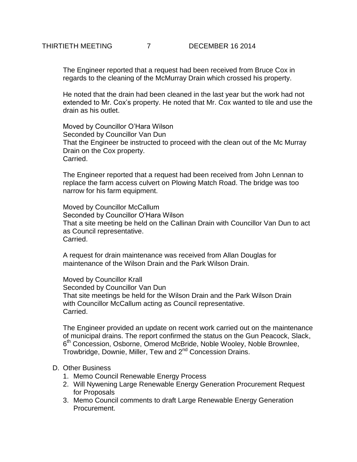The Engineer reported that a request had been received from Bruce Cox in regards to the cleaning of the McMurray Drain which crossed his property.

He noted that the drain had been cleaned in the last year but the work had not extended to Mr. Cox's property. He noted that Mr. Cox wanted to tile and use the drain as his outlet.

Moved by Councillor O'Hara Wilson Seconded by Councillor Van Dun That the Engineer be instructed to proceed with the clean out of the Mc Murray Drain on the Cox property. Carried.

The Engineer reported that a request had been received from John Lennan to replace the farm access culvert on Plowing Match Road. The bridge was too narrow for his farm equipment.

Moved by Councillor McCallum Seconded by Councillor O'Hara Wilson That a site meeting be held on the Callinan Drain with Councillor Van Dun to act as Council representative. **Carried** 

A request for drain maintenance was received from Allan Douglas for maintenance of the Wilson Drain and the Park Wilson Drain.

Moved by Councillor Krall Seconded by Councillor Van Dun That site meetings be held for the Wilson Drain and the Park Wilson Drain with Councillor McCallum acting as Council representative. Carried.

The Engineer provided an update on recent work carried out on the maintenance of municipal drains. The report confirmed the status on the Gun Peacock, Slack, 6<sup>th</sup> Concession, Osborne, Omerod McBride, Noble Wooley, Noble Brownlee, Trowbridge, Downie, Miller, Tew and 2<sup>nd</sup> Concession Drains.

### D. Other Business

- 1. Memo Council Renewable Energy Process
- 2. Will Nywening Large Renewable Energy Generation Procurement Request for Proposals
- 3. Memo Council comments to draft Large Renewable Energy Generation Procurement.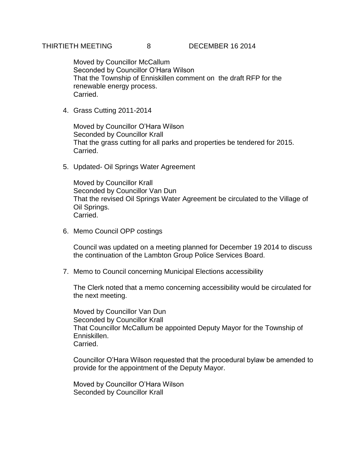Moved by Councillor McCallum Seconded by Councillor O'Hara Wilson That the Township of Enniskillen comment on the draft RFP for the renewable energy process. Carried.

4. Grass Cutting 2011-2014

Moved by Councillor O'Hara Wilson Seconded by Councillor Krall That the grass cutting for all parks and properties be tendered for 2015. Carried.

5. Updated- Oil Springs Water Agreement

Moved by Councillor Krall Seconded by Councillor Van Dun That the revised Oil Springs Water Agreement be circulated to the Village of Oil Springs. Carried.

6. Memo Council OPP costings

Council was updated on a meeting planned for December 19 2014 to discuss the continuation of the Lambton Group Police Services Board.

7. Memo to Council concerning Municipal Elections accessibility

The Clerk noted that a memo concerning accessibility would be circulated for the next meeting.

Moved by Councillor Van Dun Seconded by Councillor Krall That Councillor McCallum be appointed Deputy Mayor for the Township of Enniskillen. Carried.

Councillor O'Hara Wilson requested that the procedural bylaw be amended to provide for the appointment of the Deputy Mayor.

Moved by Councillor O'Hara Wilson Seconded by Councillor Krall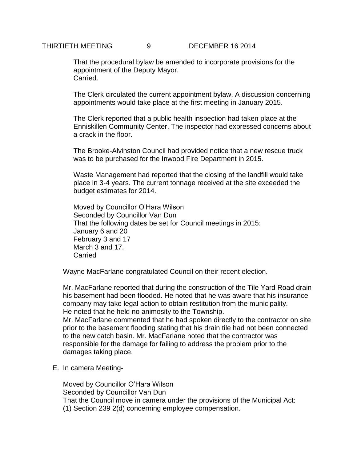## THIRTIETH MEETING 9 DECEMBER 16 2014

That the procedural bylaw be amended to incorporate provisions for the appointment of the Deputy Mayor. Carried.

The Clerk circulated the current appointment bylaw. A discussion concerning appointments would take place at the first meeting in January 2015.

The Clerk reported that a public health inspection had taken place at the Enniskillen Community Center. The inspector had expressed concerns about a crack in the floor.

The Brooke-Alvinston Council had provided notice that a new rescue truck was to be purchased for the Inwood Fire Department in 2015.

Waste Management had reported that the closing of the landfill would take place in 3-4 years. The current tonnage received at the site exceeded the budget estimates for 2014.

Moved by Councillor O'Hara Wilson Seconded by Councillor Van Dun That the following dates be set for Council meetings in 2015: January 6 and 20 February 3 and 17 March 3 and 17. **Carried** 

Wayne MacFarlane congratulated Council on their recent election.

Mr. MacFarlane reported that during the construction of the Tile Yard Road drain his basement had been flooded. He noted that he was aware that his insurance company may take legal action to obtain restitution from the municipality. He noted that he held no animosity to the Township.

Mr. MacFarlane commented that he had spoken directly to the contractor on site prior to the basement flooding stating that his drain tile had not been connected to the new catch basin. Mr. MacFarlane noted that the contractor was responsible for the damage for failing to address the problem prior to the damages taking place.

E. In camera Meeting-

Moved by Councillor O'Hara Wilson Seconded by Councillor Van Dun That the Council move in camera under the provisions of the Municipal Act: (1) Section 239 2(d) concerning employee compensation.